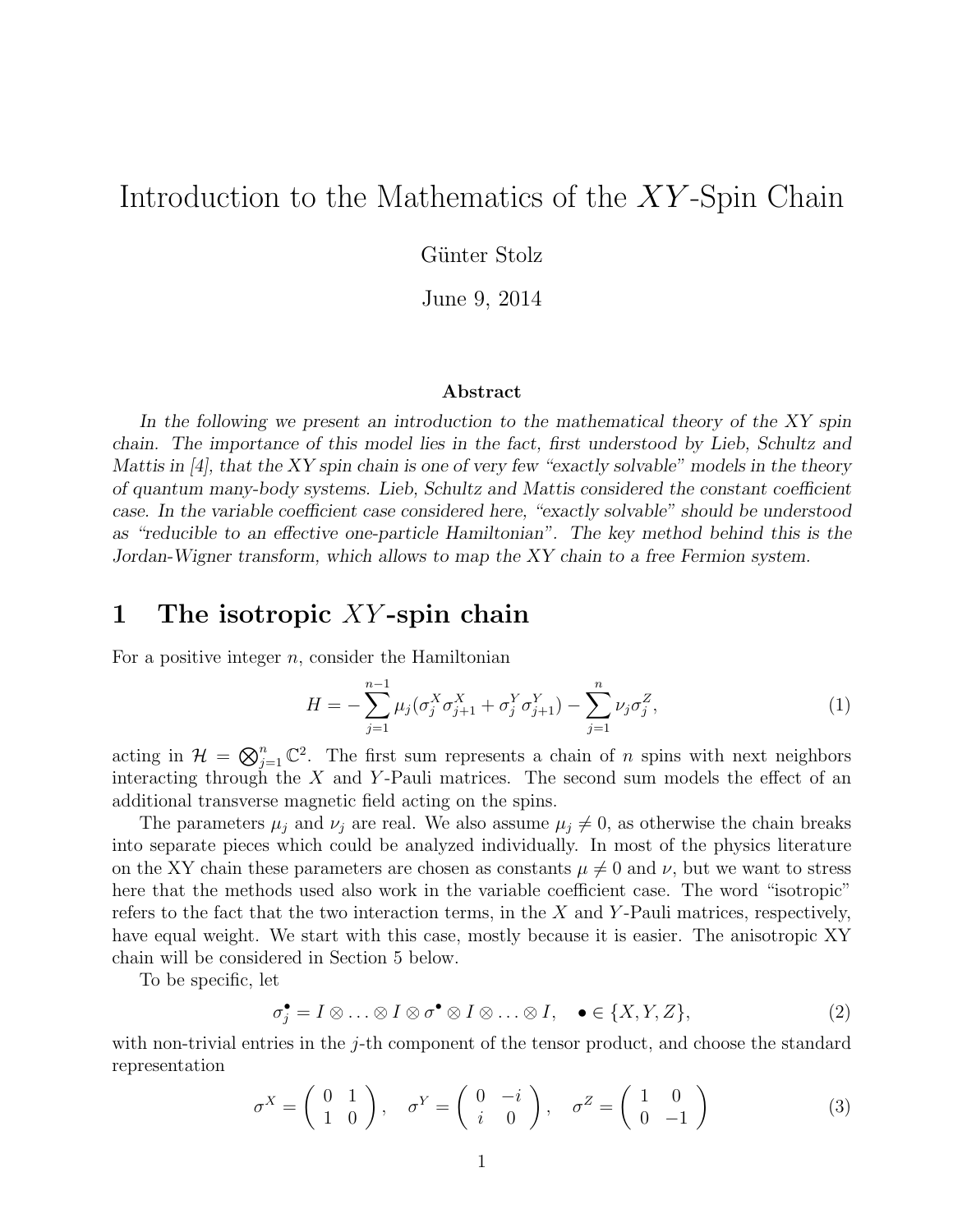# Introduction to the Mathematics of the XY -Spin Chain

Günter Stolz

June 9, 2014

#### Abstract

In the following we present an introduction to the mathematical theory of the XY spin chain. The importance of this model lies in the fact, first understood by Lieb, Schultz and Mattis in  $[4]$ , that the XY spin chain is one of very few "exactly solvable" models in the theory of quantum many-body systems. Lieb, Schultz and Mattis considered the constant coefficient case. In the variable coefficient case considered here, "exactly solvable" should be understood as "reducible to an effective one-particle Hamiltonian". The key method behind this is the Jordan-Wigner transform, which allows to map the XY chain to a free Fermion system.

#### 1 The isotropic XY -spin chain

For a positive integer  $n$ , consider the Hamiltonian

$$
H = -\sum_{j=1}^{n-1} \mu_j (\sigma_j^X \sigma_{j+1}^X + \sigma_j^Y \sigma_{j+1}^Y) - \sum_{j=1}^n \nu_j \sigma_j^Z,
$$
\n(1)

acting in  $\mathcal{H} = \bigotimes_{j=1}^n \mathbb{C}^2$ . The first sum represents a chain of n spins with next neighbors interacting through the  $X$  and Y-Pauli matrices. The second sum models the effect of an additional transverse magnetic field acting on the spins.

The parameters  $\mu_j$  and  $\nu_j$  are real. We also assume  $\mu_j \neq 0$ , as otherwise the chain breaks into separate pieces which could be analyzed individually. In most of the physics literature on the XY chain these parameters are chosen as constants  $\mu \neq 0$  and  $\nu$ , but we want to stress here that the methods used also work in the variable coefficient case. The word "isotropic" refers to the fact that the two interaction terms, in the  $X$  and  $Y$ -Pauli matrices, respectively, have equal weight. We start with this case, mostly because it is easier. The anisotropic XY chain will be considered in Section 5 below.

To be specific, let

$$
\sigma_j^{\bullet} = I \otimes \ldots \otimes I \otimes \sigma^{\bullet} \otimes I \otimes \ldots \otimes I, \quad \bullet \in \{X, Y, Z\},\tag{2}
$$

with non-trivial entries in the  $j$ -th component of the tensor product, and choose the standard representation

$$
\sigma^X = \begin{pmatrix} 0 & 1 \\ 1 & 0 \end{pmatrix}, \quad \sigma^Y = \begin{pmatrix} 0 & -i \\ i & 0 \end{pmatrix}, \quad \sigma^Z = \begin{pmatrix} 1 & 0 \\ 0 & -1 \end{pmatrix}
$$
 (3)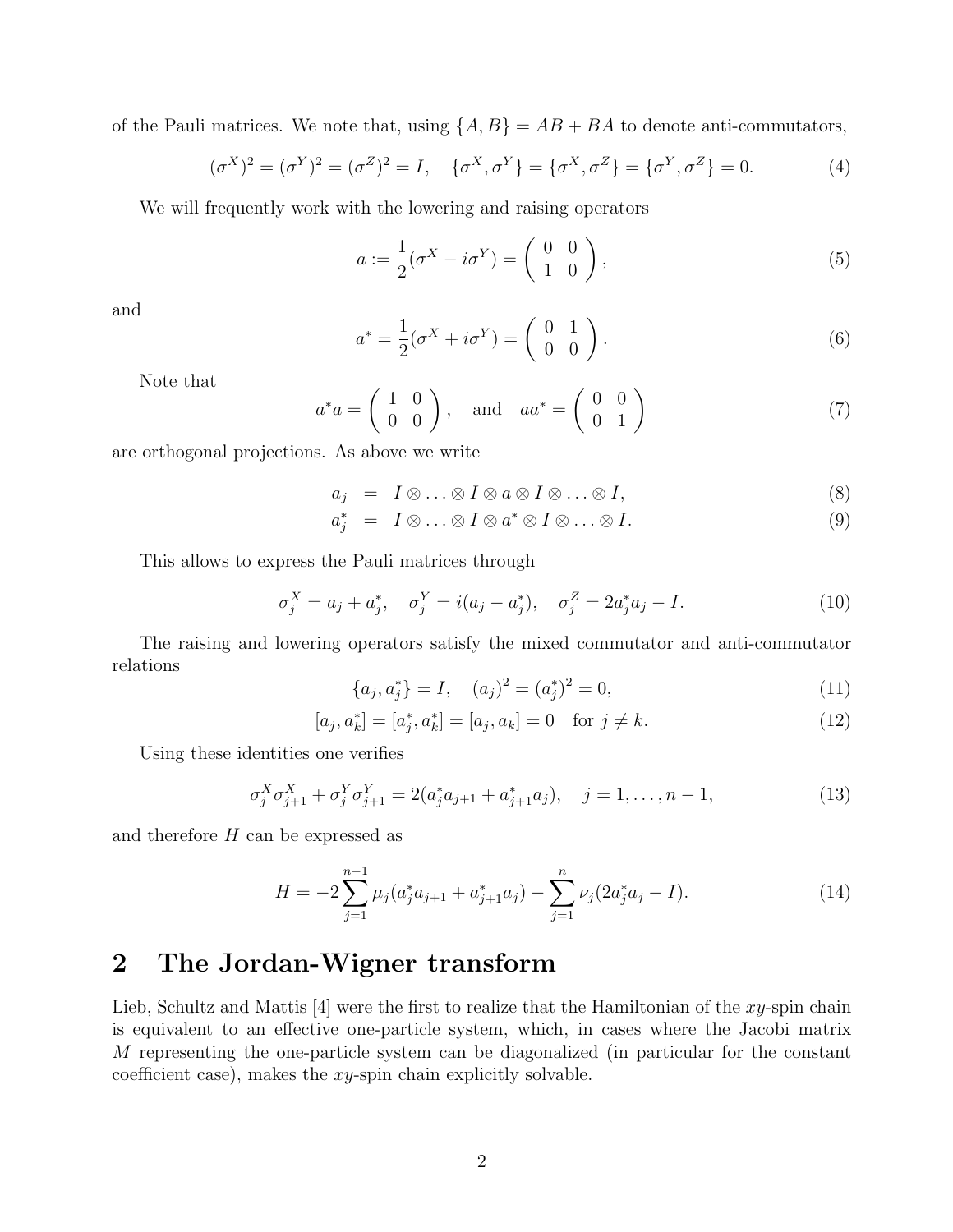of the Pauli matrices. We note that, using  $\{A, B\} = AB + BA$  to denote anti-commutators,

$$
(\sigma^X)^2 = (\sigma^Y)^2 = (\sigma^Z)^2 = I, \quad \{\sigma^X, \sigma^Y\} = \{\sigma^X, \sigma^Z\} = \{\sigma^Y, \sigma^Z\} = 0.
$$
 (4)

We will frequently work with the lowering and raising operators

$$
a := \frac{1}{2}(\sigma^X - i\sigma^Y) = \begin{pmatrix} 0 & 0 \\ 1 & 0 \end{pmatrix},\tag{5}
$$

and

$$
a^* = \frac{1}{2}(\sigma^X + i\sigma^Y) = \begin{pmatrix} 0 & 1 \\ 0 & 0 \end{pmatrix}.
$$
 (6)

Note that

$$
a^*a = \begin{pmatrix} 1 & 0 \\ 0 & 0 \end{pmatrix}, \quad \text{and} \quad aa^* = \begin{pmatrix} 0 & 0 \\ 0 & 1 \end{pmatrix} \tag{7}
$$

are orthogonal projections. As above we write

$$
a_j = I \otimes \ldots \otimes I \otimes a \otimes I \otimes \ldots \otimes I, \tag{8}
$$

$$
a_j^* = I \otimes \ldots \otimes I \otimes a^* \otimes I \otimes \ldots \otimes I. \tag{9}
$$

This allows to express the Pauli matrices through

$$
\sigma_j^X = a_j + a_j^*, \quad \sigma_j^Y = i(a_j - a_j^*), \quad \sigma_j^Z = 2a_j^* a_j - I. \tag{10}
$$

The raising and lowering operators satisfy the mixed commutator and anti-commutator relations

$$
\{a_j, a_j^*\} = I, \quad (a_j)^2 = (a_j^*)^2 = 0,\tag{11}
$$

$$
[a_j, a_k^*] = [a_j^*, a_k^*] = [a_j, a_k] = 0 \quad \text{for } j \neq k.
$$
 (12)

Using these identities one verifies

$$
\sigma_j^X \sigma_{j+1}^X + \sigma_j^Y \sigma_{j+1}^Y = 2(a_j^* a_{j+1} + a_{j+1}^* a_j), \quad j = 1, \dots, n-1,
$$
\n(13)

and therefore  $H$  can be expressed as

$$
H = -2\sum_{j=1}^{n-1} \mu_j (a_j^* a_{j+1} + a_{j+1}^* a_j) - \sum_{j=1}^n \nu_j (2a_j^* a_j - I). \tag{14}
$$

## 2 The Jordan-Wigner transform

Lieb, Schultz and Mattis  $[4]$  were the first to realize that the Hamiltonian of the xy-spin chain is equivalent to an effective one-particle system, which, in cases where the Jacobi matrix M representing the one-particle system can be diagonalized (in particular for the constant coefficient case), makes the  $xy$ -spin chain explicitly solvable.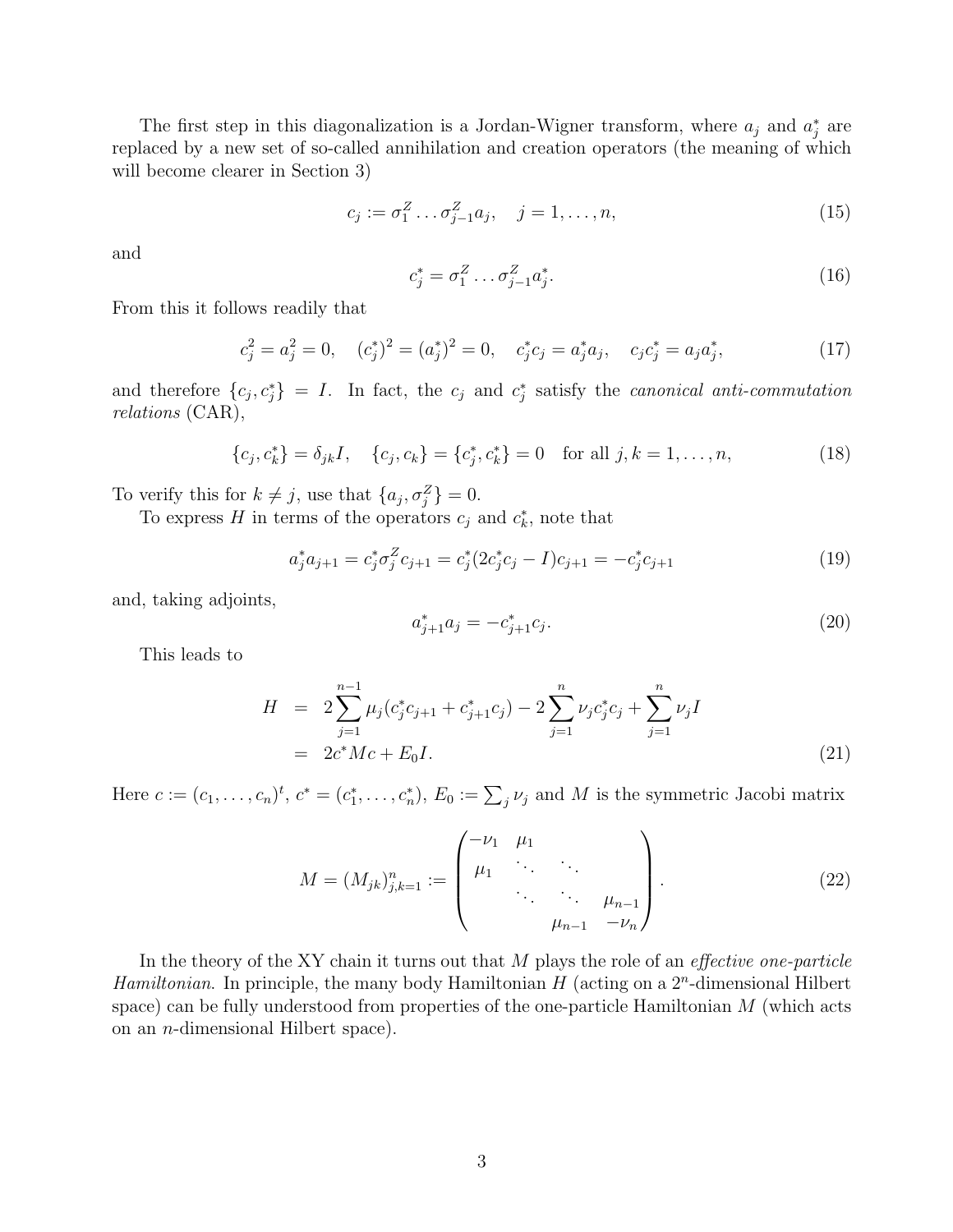The first step in this diagonalization is a Jordan-Wigner transform, where  $a_j$  and  $a_j^*$  are replaced by a new set of so-called annihilation and creation operators (the meaning of which will become clearer in Section 3)

$$
c_j := \sigma_1^Z \dots \sigma_{j-1}^Z a_j, \quad j = 1, \dots, n,
$$
\n(15)

and

$$
c_j^* = \sigma_1^Z \dots \sigma_{j-1}^Z a_j^*.
$$
 (16)

From this it follows readily that

$$
c_j^2 = a_j^2 = 0, \quad (c_j^*)^2 = (a_j^*)^2 = 0, \quad c_j^* c_j = a_j^* a_j, \quad c_j c_j^* = a_j a_j^*, \tag{17}
$$

and therefore  $\{c_j, c_j^*\}=I$ . In fact, the  $c_j$  and  $c_j^*$  satisfy the canonical anti-commutation relations (CAR),

$$
\{c_j, c_k^*\} = \delta_{jk}I, \quad \{c_j, c_k\} = \{c_j^*, c_k^*\} = 0 \quad \text{for all } j, k = 1, \dots, n,
$$
 (18)

To verify this for  $k \neq j$ , use that  $\{a_j, \sigma_j^Z\} = 0$ .

To express H in terms of the operators  $c_j$  and  $c_k^*$ , note that

$$
a_j^* a_{j+1} = c_j^* \sigma_j^Z c_{j+1} = c_j^* (2c_j^* c_j - I) c_{j+1} = -c_j^* c_{j+1}
$$
\n(19)

and, taking adjoints,

$$
a_{j+1}^* a_j = -c_{j+1}^* c_j. \tag{20}
$$

This leads to

$$
H = 2\sum_{j=1}^{n-1} \mu_j (c_j^* c_{j+1} + c_{j+1}^* c_j) - 2\sum_{j=1}^n \nu_j c_j^* c_j + \sum_{j=1}^n \nu_j I
$$
  
=  $2c^* Mc + E_0 I.$  (21)

Here  $c := (c_1, \ldots, c_n)^t$ ,  $c^* = (c_1^*, \ldots, c_n^*)$ ,  $E_0 := \sum_j \nu_j$  and M is the symmetric Jacobi matrix

$$
M = (M_{jk})_{j,k=1}^n := \begin{pmatrix} -\nu_1 & \mu_1 & & & \\ \mu_1 & \ddots & & & \\ & \ddots & \ddots & \mu_{n-1} \\ & & \mu_{n-1} & -\nu_n \end{pmatrix}.
$$
 (22)

In the theory of the XY chain it turns out that  $M$  plays the role of an *effective one-particle* Hamiltonian. In principle, the many body Hamiltonian  $H$  (acting on a  $2<sup>n</sup>$ -dimensional Hilbert space) can be fully understood from properties of the one-particle Hamiltonian  $M$  (which acts on an n-dimensional Hilbert space).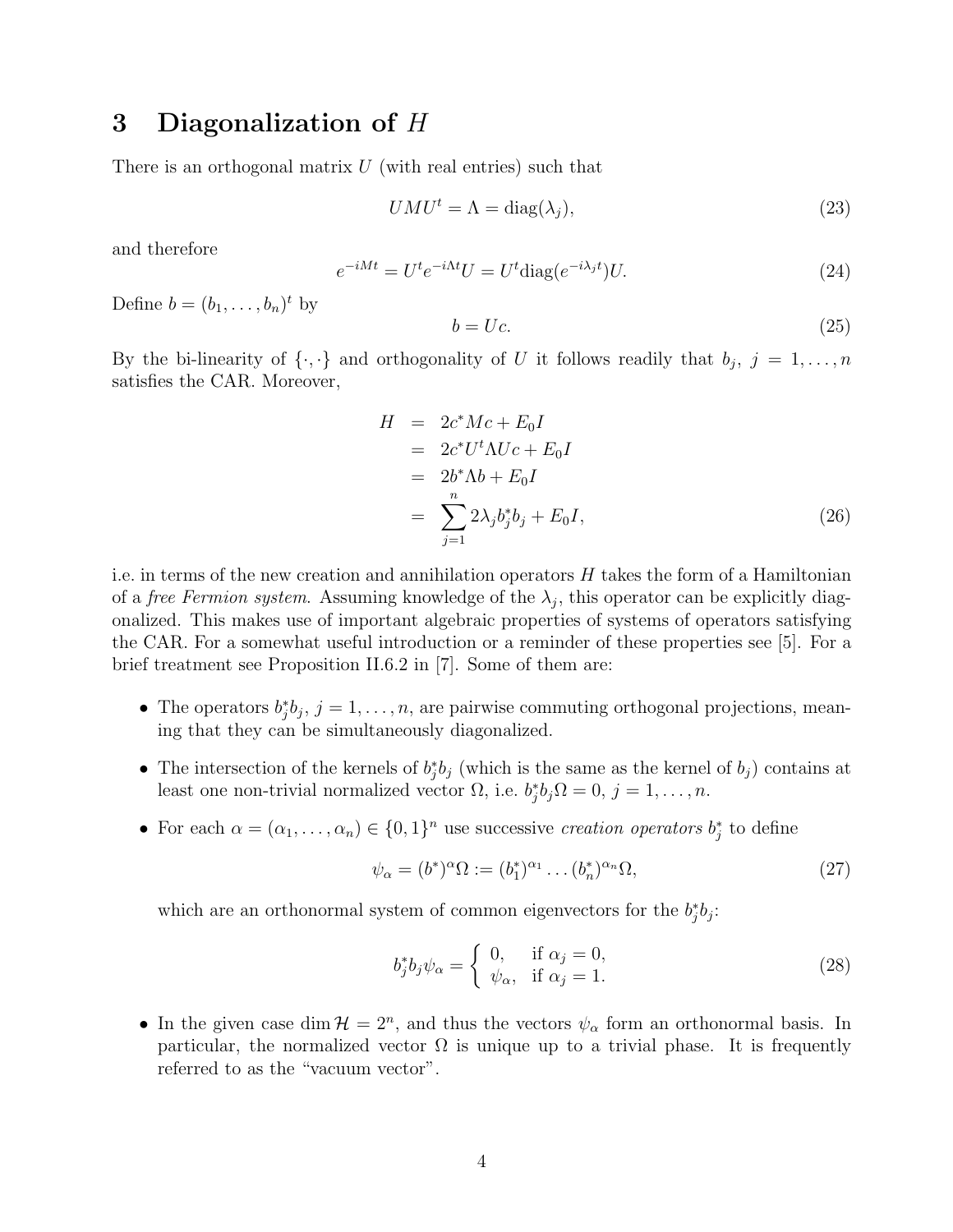## 3 Diagonalization of  $H$

There is an orthogonal matrix  $U$  (with real entries) such that

$$
U M U^t = \Lambda = \text{diag}(\lambda_j),\tag{23}
$$

and therefore

$$
e^{-iMt} = U^t e^{-i\Lambda t} U = U^t \text{diag}(e^{-i\lambda_j t}) U. \tag{24}
$$

Define  $b=(b_1,\ldots,b_n)^t$  by

$$
b = Uc.\t\t(25)
$$

By the bi-linearity of  $\{\cdot,\cdot\}$  and orthogonality of U it follows readily that  $b_j$ ,  $j = 1, \ldots, n$ satisfies the CAR. Moreover,

$$
H = 2c^*Mc + E_0I
$$
  
=  $2c^*U^t \Lambda Uc + E_0I$   
=  $2b^* \Lambda b + E_0I$   
= 
$$
\sum_{j=1}^n 2\lambda_j b_j^* b_j + E_0I,
$$
 (26)

i.e. in terms of the new creation and annihilation operators  $H$  takes the form of a Hamiltonian of a *free Fermion system*. Assuming knowledge of the  $\lambda_j$ , this operator can be explicitly diagonalized. This makes use of important algebraic properties of systems of operators satisfying the CAR. For a somewhat useful introduction or a reminder of these properties see [5]. For a brief treatment see Proposition II.6.2 in [7]. Some of them are:

- The operators  $b_j^*b_j$ ,  $j = 1, \ldots, n$ , are pairwise commuting orthogonal projections, meaning that they can be simultaneously diagonalized.
- The intersection of the kernels of  $b_j^*b_j$  (which is the same as the kernel of  $b_j$ ) contains at least one non-trivial normalized vector  $\Omega$ , i.e.  $b_j^* b_j \Omega = 0$ ,  $j = 1, ..., n$ .
- For each  $\alpha = (\alpha_1, \ldots, \alpha_n) \in \{0,1\}^n$  use successive creation operators  $b_j^*$  to define

$$
\psi_{\alpha} = (b^*)^{\alpha} \Omega := (b_1^*)^{\alpha_1} \dots (b_n^*)^{\alpha_n} \Omega,
$$
\n
$$
(27)
$$

which are an orthonormal system of common eigenvectors for the  $b_j^* b_j$ :

$$
b_j^* b_j \psi_\alpha = \begin{cases} 0, & \text{if } \alpha_j = 0, \\ \psi_\alpha, & \text{if } \alpha_j = 1. \end{cases}
$$
 (28)

• In the given case dim  $\mathcal{H} = 2^n$ , and thus the vectors  $\psi_\alpha$  form an orthonormal basis. In particular, the normalized vector  $\Omega$  is unique up to a trivial phase. It is frequently referred to as the "vacuum vector".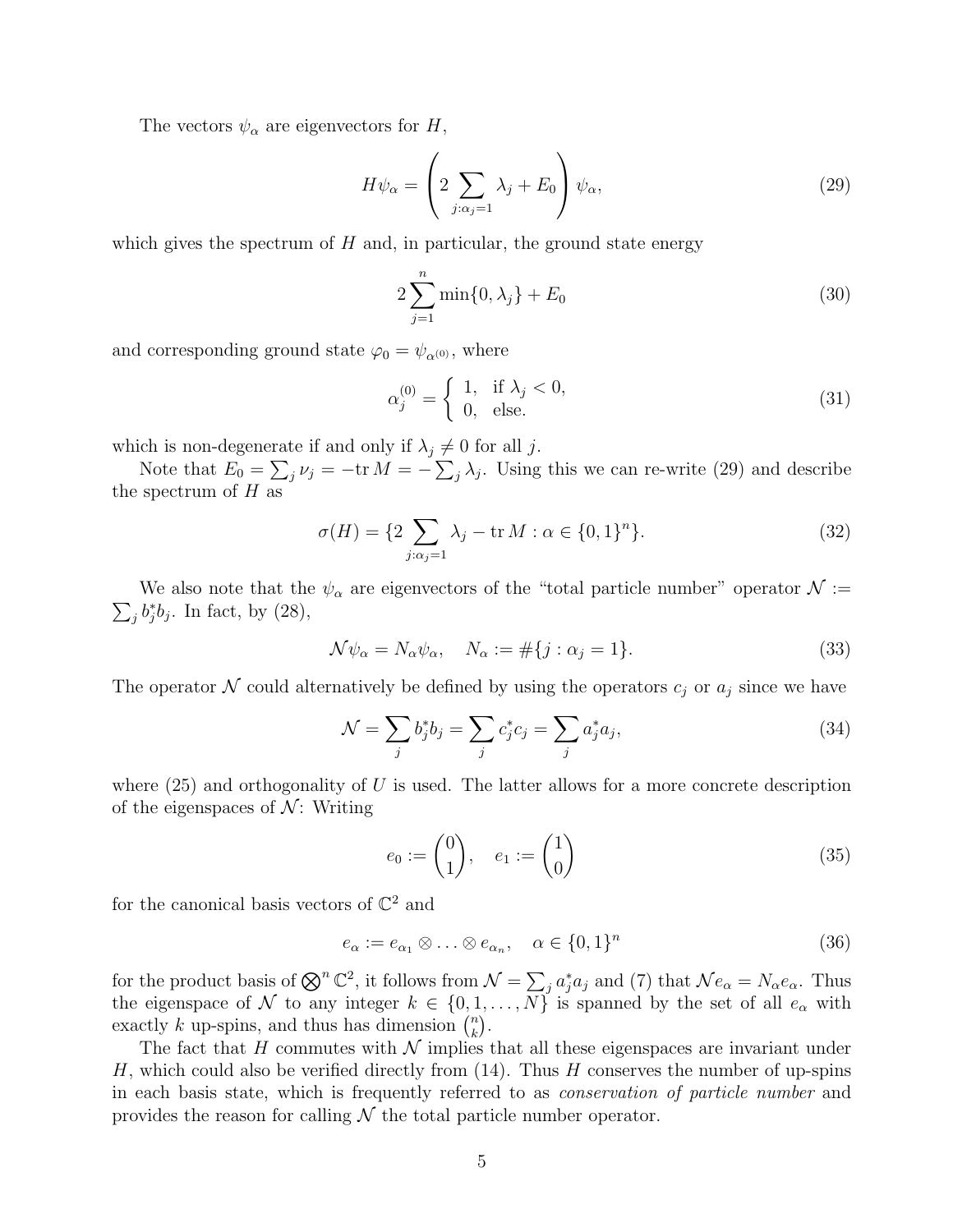The vectors  $\psi_{\alpha}$  are eigenvectors for H,

$$
H\psi_{\alpha} = \left(2\sum_{j:\alpha_j=1}\lambda_j + E_0\right)\psi_{\alpha},\tag{29}
$$

which gives the spectrum of  $H$  and, in particular, the ground state energy

$$
2\sum_{j=1}^{n}\min\{0,\lambda_j\} + E_0
$$
\n(30)

and corresponding ground state  $\varphi_0 = \psi_{\alpha^{(0)}},$  where

$$
\alpha_j^{(0)} = \begin{cases} 1, & \text{if } \lambda_j < 0, \\ 0, & \text{else.} \end{cases} \tag{31}
$$

which is non-degenerate if and only if  $\lambda_j \neq 0$  for all j.

Note that  $E_0 = \sum_j \nu_j = -\text{tr } M = -\sum_j \lambda_j$ . Using this we can re-write (29) and describe the spectrum of  $H$  as

$$
\sigma(H) = \{2 \sum_{j:\alpha_j=1} \lambda_j - \text{tr } M : \alpha \in \{0,1\}^n\}. \tag{32}
$$

 $\sum_j b_j^* b_j$ . In fact, by (28), We also note that the  $\psi_{\alpha}$  are eigenvectors of the "total particle number" operator  $\mathcal{N}$  :=

$$
\mathcal{N}\psi_{\alpha} = N_{\alpha}\psi_{\alpha}, \quad N_{\alpha} := \#\{j : \alpha_j = 1\}.
$$
\n(33)

The operator  $\mathcal N$  could alternatively be defined by using the operators  $c_j$  or  $a_j$  since we have

$$
\mathcal{N} = \sum_{j} b_j^* b_j = \sum_{j} c_j^* c_j = \sum_{j} a_j^* a_j,
$$
\n(34)

where  $(25)$  and orthogonality of U is used. The latter allows for a more concrete description of the eigenspaces of  $\mathcal{N}$ : Writing

$$
e_0 := \begin{pmatrix} 0 \\ 1 \end{pmatrix}, \quad e_1 := \begin{pmatrix} 1 \\ 0 \end{pmatrix} \tag{35}
$$

for the canonical basis vectors of  $\mathbb{C}^2$  and

$$
e_{\alpha} := e_{\alpha_1} \otimes \ldots \otimes e_{\alpha_n}, \quad \alpha \in \{0, 1\}^n \tag{36}
$$

for the product basis of  $\bigotimes^n \mathbb{C}^2$ , it follows from  $\mathcal{N} = \sum_j a_j^* a_j$  and (7) that  $\mathcal{N} e_\alpha = N_\alpha e_\alpha$ . Thus the eigenspace of N to any integer  $k \in \{0, 1, ..., N\}$  is spanned by the set of all  $e_{\alpha}$  with exactly k up-spins, and thus has dimension  $\binom{n}{k}$  $\binom{n}{k}$ .

The fact that H commutes with  $\mathcal N$  implies that all these eigenspaces are invariant under H, which could also be verified directly from  $(14)$ . Thus H conserves the number of up-spins in each basis state, which is frequently referred to as conservation of particle number and provides the reason for calling  $\mathcal N$  the total particle number operator.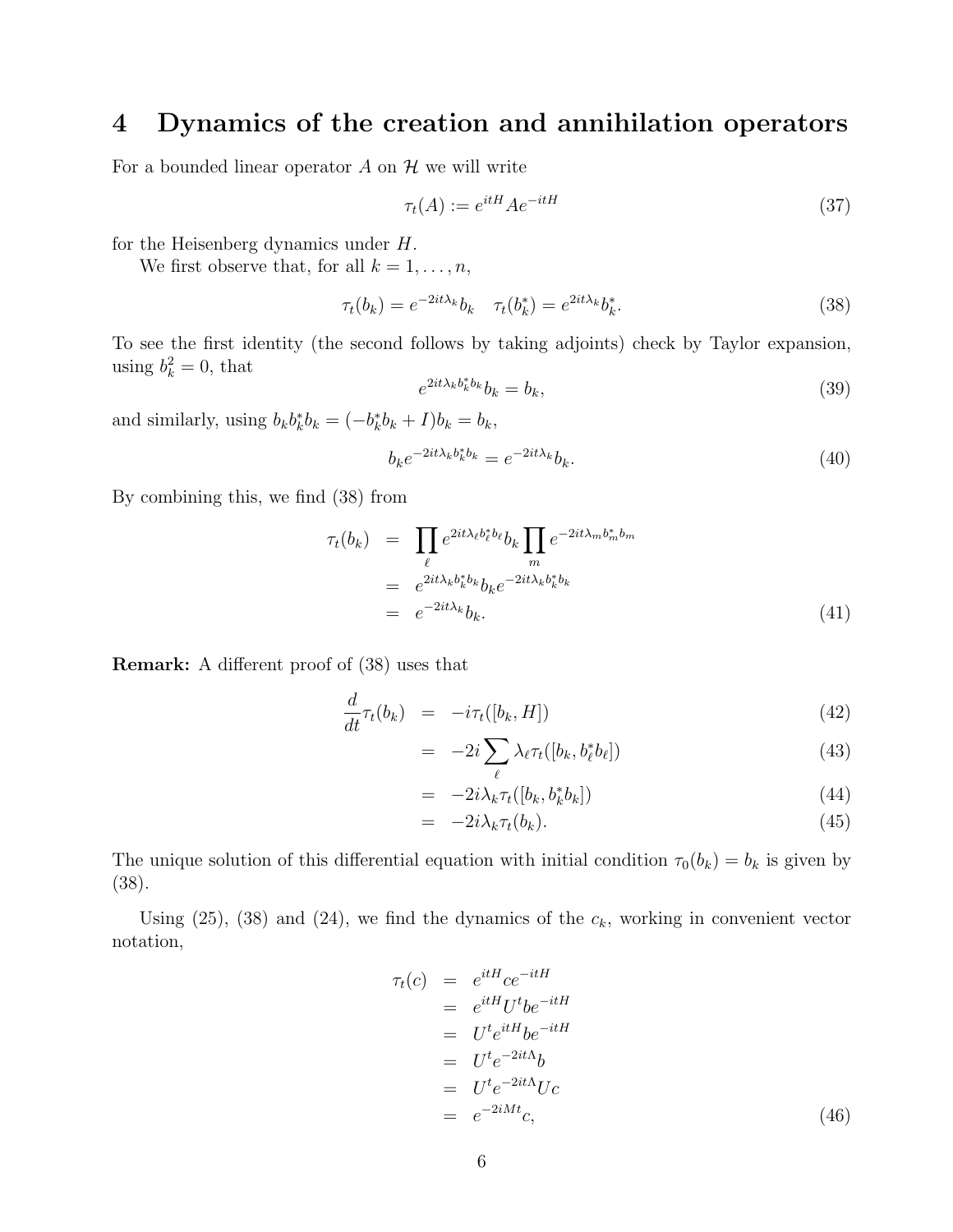## 4 Dynamics of the creation and annihilation operators

For a bounded linear operator  $A$  on  $H$  we will write

$$
\tau_t(A) := e^{itH} A e^{-itH} \tag{37}
$$

for the Heisenberg dynamics under H.

We first observe that, for all  $k = 1, \ldots, n$ ,

$$
\tau_t(b_k) = e^{-2it\lambda_k} b_k \quad \tau_t(b_k^*) = e^{2it\lambda_k} b_k^*.
$$
\n(38)

To see the first identity (the second follows by taking adjoints) check by Taylor expansion, using  $b_k^2 = 0$ , that

$$
e^{2it\lambda_k b_k^* b_k} b_k = b_k,\tag{39}
$$

and similarly, using  $b_k b_k^* b_k = (-b_k^* b_k + I)b_k = b_k$ ,

$$
b_k e^{-2it\lambda_k b_k^* b_k} = e^{-2it\lambda_k} b_k.
$$
\n(40)

By combining this, we find (38) from

$$
\tau_t(b_k) = \prod_{\ell} e^{2it\lambda_{\ell}b_{\ell}^*b_{\ell}} b_k \prod_m e^{-2it\lambda_m b_m^*b_m}
$$
  

$$
= e^{2it\lambda_k b_k^*b_k} b_k e^{-2it\lambda_k b_k^*b_k}
$$
  

$$
= e^{-2it\lambda_k} b_k.
$$
 (41)

Remark: A different proof of (38) uses that

$$
\frac{d}{dt}\tau_t(b_k) = -i\tau_t([b_k, H])\tag{42}
$$

$$
= -2i \sum_{\ell} \lambda_{\ell} \tau_t([b_k, b_{\ell}^* b_{\ell}]) \tag{43}
$$

$$
= -2i\lambda_k \tau_t([b_k, b_k^* b_k]) \tag{44}
$$

$$
= -2i\lambda_k \tau_t(b_k). \tag{45}
$$

The unique solution of this differential equation with initial condition  $\tau_0(b_k) = b_k$  is given by (38).

Using (25), (38) and (24), we find the dynamics of the  $c_k$ , working in convenient vector notation,

$$
\tau_t(c) = e^{itH}ce^{-itH}
$$
\n
$$
= e^{itH}U^tbe^{-itH}
$$
\n
$$
= U^te^{itH}be^{-itH}
$$
\n
$$
= U^te^{-2it\Lambda}b
$$
\n
$$
= U^te^{-2it\Lambda}Uc
$$
\n
$$
= e^{-2iMt}c,
$$
\n(46)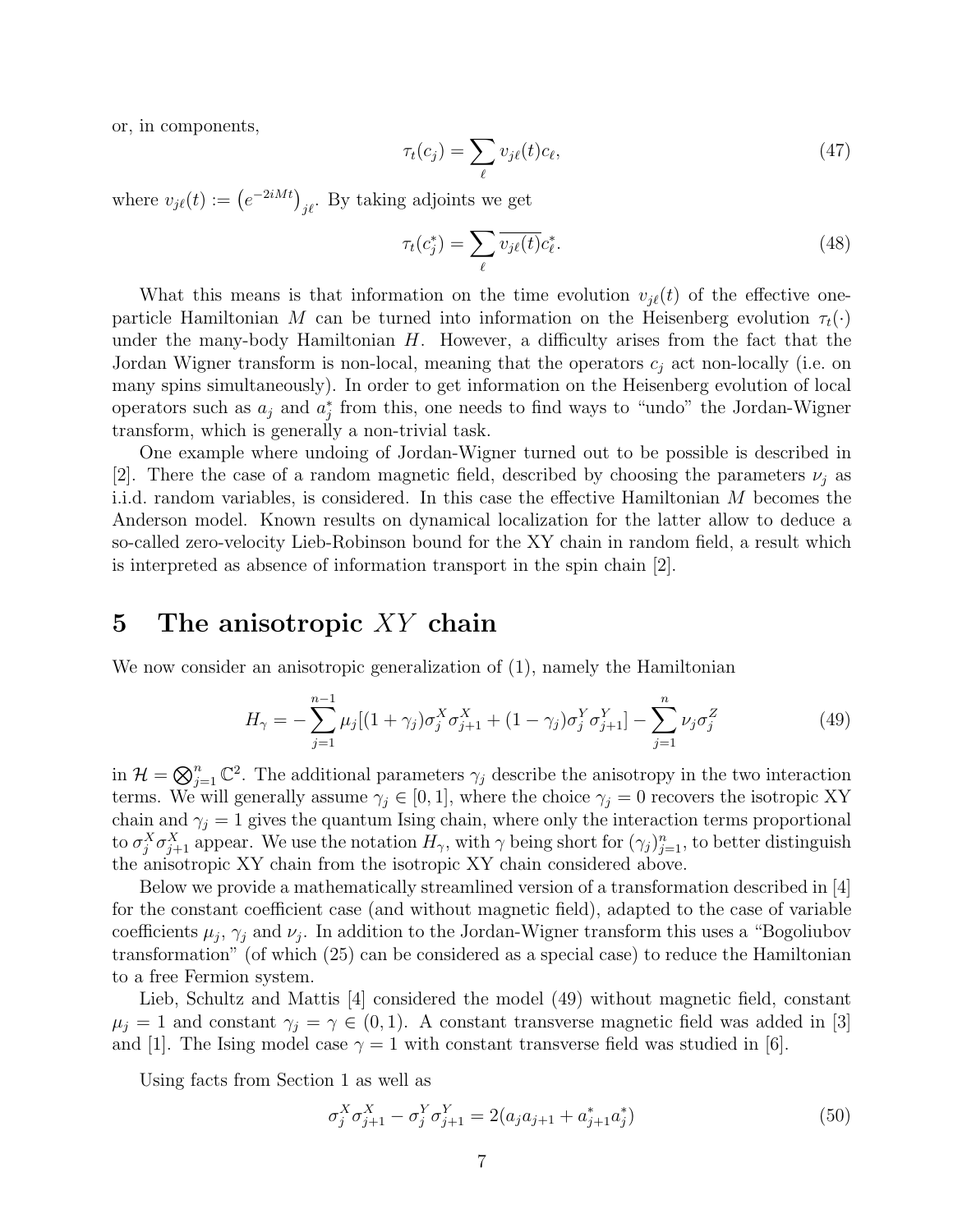or, in components,

$$
\tau_t(c_j) = \sum_{\ell} v_{j\ell}(t)c_{\ell},\tag{47}
$$

where  $v_{j\ell}(t) := \left(e^{-2iMt}\right)_{j\ell}$ . By taking adjoints we get

$$
\tau_t(c_j^*) = \sum_{\ell} \overline{v_{j\ell}(t)} c_{\ell}^*.
$$
\n(48)

What this means is that information on the time evolution  $v_{i\ell}(t)$  of the effective oneparticle Hamiltonian M can be turned into information on the Heisenberg evolution  $\tau_t(\cdot)$ under the many-body Hamiltonian  $H$ . However, a difficulty arises from the fact that the Jordan Wigner transform is non-local, meaning that the operators  $c_i$  act non-locally (i.e. on many spins simultaneously). In order to get information on the Heisenberg evolution of local operators such as  $a_j$  and  $a_j^*$  from this, one needs to find ways to "undo" the Jordan-Wigner transform, which is generally a non-trivial task.

One example where undoing of Jordan-Wigner turned out to be possible is described in [2]. There the case of a random magnetic field, described by choosing the parameters  $\nu_i$  as i.i.d. random variables, is considered. In this case the effective Hamiltonian M becomes the Anderson model. Known results on dynamical localization for the latter allow to deduce a so-called zero-velocity Lieb-Robinson bound for the XY chain in random field, a result which is interpreted as absence of information transport in the spin chain [2].

#### 5 The anisotropic  $XY$  chain

We now consider an anisotropic generalization of  $(1)$ , namely the Hamiltonian

$$
H_{\gamma} = -\sum_{j=1}^{n-1} \mu_j [(1+\gamma_j)\sigma_j^X \sigma_{j+1}^X + (1-\gamma_j)\sigma_j^Y \sigma_{j+1}^Y] - \sum_{j=1}^n \nu_j \sigma_j^Z
$$
(49)

in  $\mathcal{H} = \bigotimes_{j=1}^n \mathbb{C}^2$ . The additional parameters  $\gamma_j$  describe the anisotropy in the two interaction terms. We will generally assume  $\gamma_j \in [0, 1]$ , where the choice  $\gamma_j = 0$  recovers the isotropic XY chain and  $\gamma_j = 1$  gives the quantum Ising chain, where only the interaction terms proportional to  $\sigma_j^X \sigma_{j+1}^X$  appear. We use the notation  $H_\gamma$ , with  $\gamma$  being short for  $(\gamma_j)_{j=1}^n$ , to better distinguish the anisotropic XY chain from the isotropic XY chain considered above.

Below we provide a mathematically streamlined version of a transformation described in [4] for the constant coefficient case (and without magnetic field), adapted to the case of variable coefficients  $\mu_j$ ,  $\gamma_j$  and  $\nu_j$ . In addition to the Jordan-Wigner transform this uses a "Bogoliubov transformation" (of which (25) can be considered as a special case) to reduce the Hamiltonian to a free Fermion system.

Lieb, Schultz and Mattis [4] considered the model (49) without magnetic field, constant  $\mu_j = 1$  and constant  $\gamma_j = \gamma \in (0,1)$ . A constant transverse magnetic field was added in [3] and [1]. The Ising model case  $\gamma = 1$  with constant transverse field was studied in [6].

Using facts from Section 1 as well as

$$
\sigma_j^X \sigma_{j+1}^X - \sigma_j^Y \sigma_{j+1}^Y = 2(a_j a_{j+1} + a_{j+1}^* a_j^*)
$$
\n(50)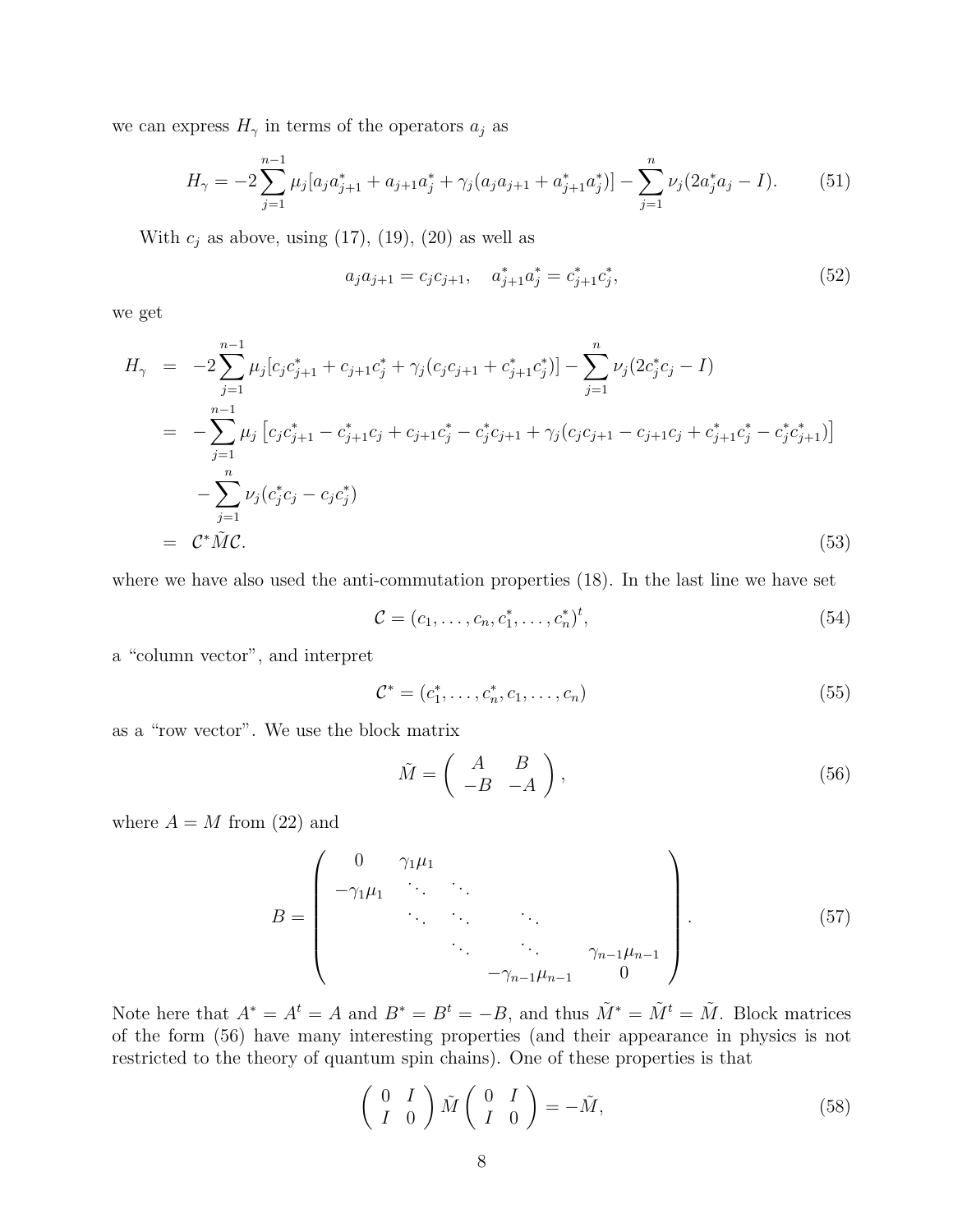we can express  $H_{\gamma}$  in terms of the operators  $a_j$  as

$$
H_{\gamma} = -2\sum_{j=1}^{n-1} \mu_j [a_j a_{j+1}^* + a_{j+1} a_j^* + \gamma_j (a_j a_{j+1} + a_{j+1}^* a_j^*)] - \sum_{j=1}^n \nu_j (2a_j^* a_j - I). \tag{51}
$$

With  $c_j$  as above, using (17), (19), (20) as well as

$$
a_j a_{j+1} = c_j c_{j+1}, \quad a_{j+1}^* a_j^* = c_{j+1}^* c_j^*, \tag{52}
$$

we get

$$
H_{\gamma} = -2 \sum_{j=1}^{n-1} \mu_j [c_j c_{j+1}^* + c_{j+1} c_j^* + \gamma_j (c_j c_{j+1} + c_{j+1}^* c_j^*)] - \sum_{j=1}^n \nu_j (2c_j^* c_j - I)
$$
  
\n
$$
= -\sum_{j=1}^{n-1} \mu_j [c_j c_{j+1}^* - c_{j+1}^* c_j + c_{j+1} c_j^* - c_j^* c_{j+1} + \gamma_j (c_j c_{j+1} - c_{j+1} c_j + c_{j+1}^* c_j^* - c_j^* c_{j+1}^*)]
$$
  
\n
$$
- \sum_{j=1}^n \nu_j (c_j^* c_j - c_j c_j^*)
$$
  
\n
$$
= C^* \tilde{M} C.
$$
 (53)

where we have also used the anti-commutation properties (18). In the last line we have set

$$
\mathcal{C} = (c_1, \dots, c_n, c_1^*, \dots, c_n^*)^t,\tag{54}
$$

a "column vector", and interpret

$$
C^* = (c_1^*, \dots, c_n^*, c_1, \dots, c_n)
$$
\n(55)

as a "row vector". We use the block matrix

$$
\tilde{M} = \begin{pmatrix} A & B \\ -B & -A \end{pmatrix},\tag{56}
$$

where  $A = M$  from (22) and

$$
B = \begin{pmatrix} 0 & \gamma_1 \mu_1 & & & \\ -\gamma_1 \mu_1 & \cdots & \cdots & & \\ & \ddots & \ddots & \ddots & \\ & & \ddots & \ddots & \ddots \\ & & & & \gamma_{n-1} \mu_{n-1} & \\ & & & & -\gamma_{n-1} \mu_{n-1} & 0 \end{pmatrix} .
$$
 (57)

Note here that  $A^* = A^t = A$  and  $B^* = B^t = -B$ , and thus  $\tilde{M}^* = \tilde{M}^t = \tilde{M}$ . Block matrices of the form (56) have many interesting properties (and their appearance in physics is not restricted to the theory of quantum spin chains). One of these properties is that

$$
\begin{pmatrix} 0 & I \\ I & 0 \end{pmatrix} \tilde{M} \begin{pmatrix} 0 & I \\ I & 0 \end{pmatrix} = -\tilde{M},
$$
\n(58)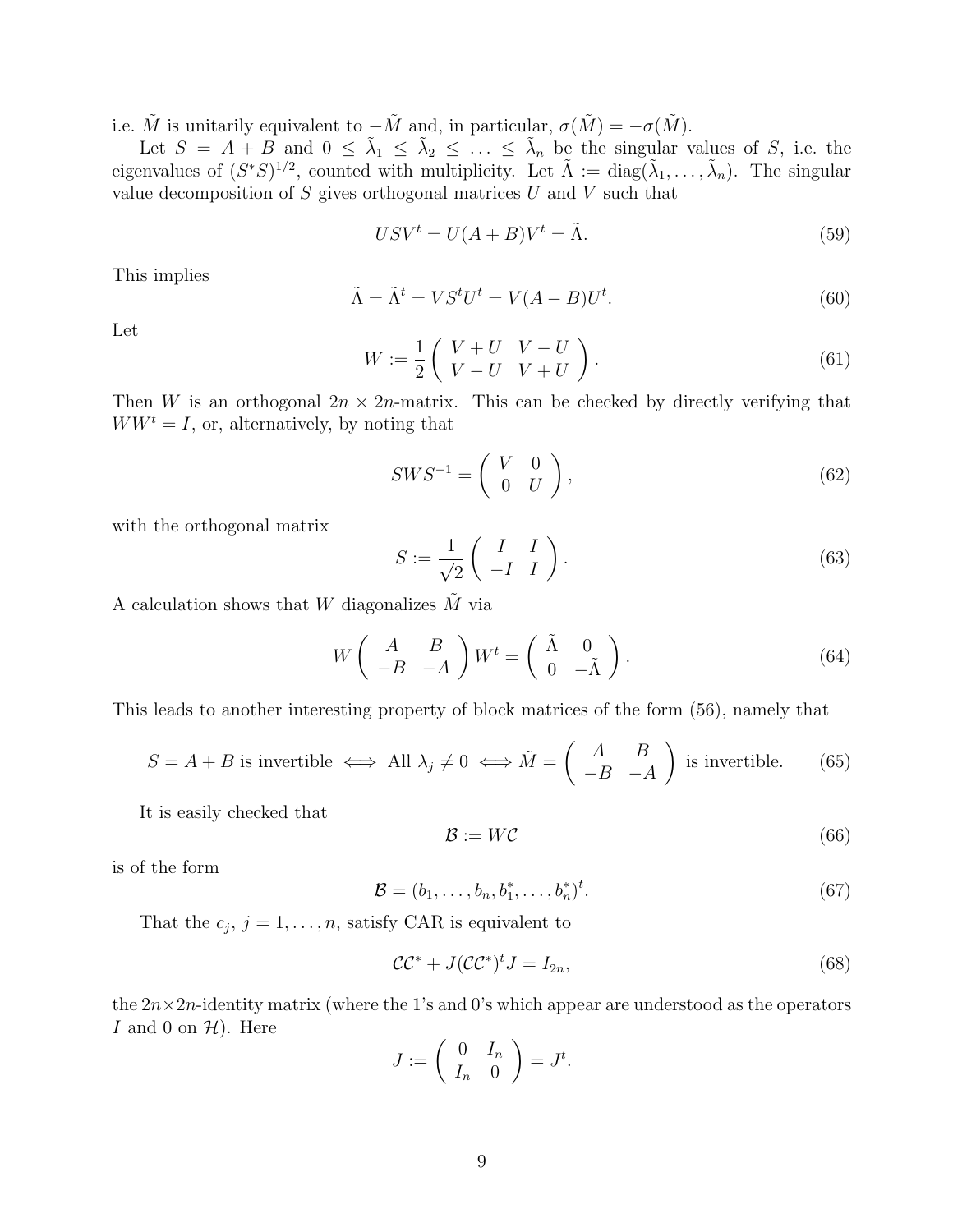i.e.  $\tilde{M}$  is unitarily equivalent to  $-\tilde{M}$  and, in particular,  $\sigma(\tilde{M}) = -\sigma(\tilde{M})$ .

Let  $S = A + B$  and  $0 \leq \tilde{\lambda}_1 \leq \tilde{\lambda}_2 \leq \ldots \leq \tilde{\lambda}_n$  be the singular values of S, i.e. the eigenvalues of  $(S^*S)^{1/2}$ , counted with multiplicity. Let  $\tilde{\Lambda} := \text{diag}(\tilde{\lambda}_1, \ldots, \tilde{\lambda}_n)$ . The singular value decomposition of  $S$  gives orthogonal matrices  $U$  and  $V$  such that

$$
USV^t = U(A + B)V^t = \tilde{\Lambda}.
$$
\n(59)

This implies

$$
\tilde{\Lambda} = \tilde{\Lambda}^t = VS^t U^t = V(A - B)U^t.
$$
\n(60)

Let

$$
W := \frac{1}{2} \left( \begin{array}{cc} V + U & V - U \\ V - U & V + U \end{array} \right). \tag{61}
$$

Then W is an orthogonal  $2n \times 2n$ -matrix. This can be checked by directly verifying that  $WW<sup>t</sup> = I$ , or, alternatively, by noting that

$$
SWS^{-1} = \left(\begin{array}{cc} V & 0\\ 0 & U \end{array}\right),\tag{62}
$$

with the orthogonal matrix

$$
S := \frac{1}{\sqrt{2}} \begin{pmatrix} I & I \\ -I & I \end{pmatrix} . \tag{63}
$$

A calculation shows that W diagonalizes  $\tilde{M}$  via

$$
W\left(\begin{array}{cc} A & B \\ -B & -A \end{array}\right) W^t = \left(\begin{array}{cc} \tilde{\Lambda} & 0 \\ 0 & -\tilde{\Lambda} \end{array}\right). \tag{64}
$$

This leads to another interesting property of block matrices of the form (56), namely that

$$
S = A + B
$$
 is invertible  $\iff$  All  $\lambda_j \neq 0 \iff \tilde{M} = \begin{pmatrix} A & B \\ -B & -A \end{pmatrix}$  is invertible. (65)

It is easily checked that

$$
\mathcal{B} := W\mathcal{C} \tag{66}
$$

is of the form

$$
\mathcal{B} = (b_1, \dots, b_n, b_1^*, \dots, b_n^*)^t. \tag{67}
$$

That the  $c_j$ ,  $j = 1, \ldots, n$ , satisfy CAR is equivalent to

$$
\mathcal{CC}^* + J(\mathcal{CC}^*)^t J = I_{2n},\tag{68}
$$

the  $2n \times 2n$ -identity matrix (where the 1's and 0's which appear are understood as the operators I and 0 on  $\mathcal{H}$ ). Here

$$
J := \left( \begin{array}{cc} 0 & I_n \\ I_n & 0 \end{array} \right) = J^t.
$$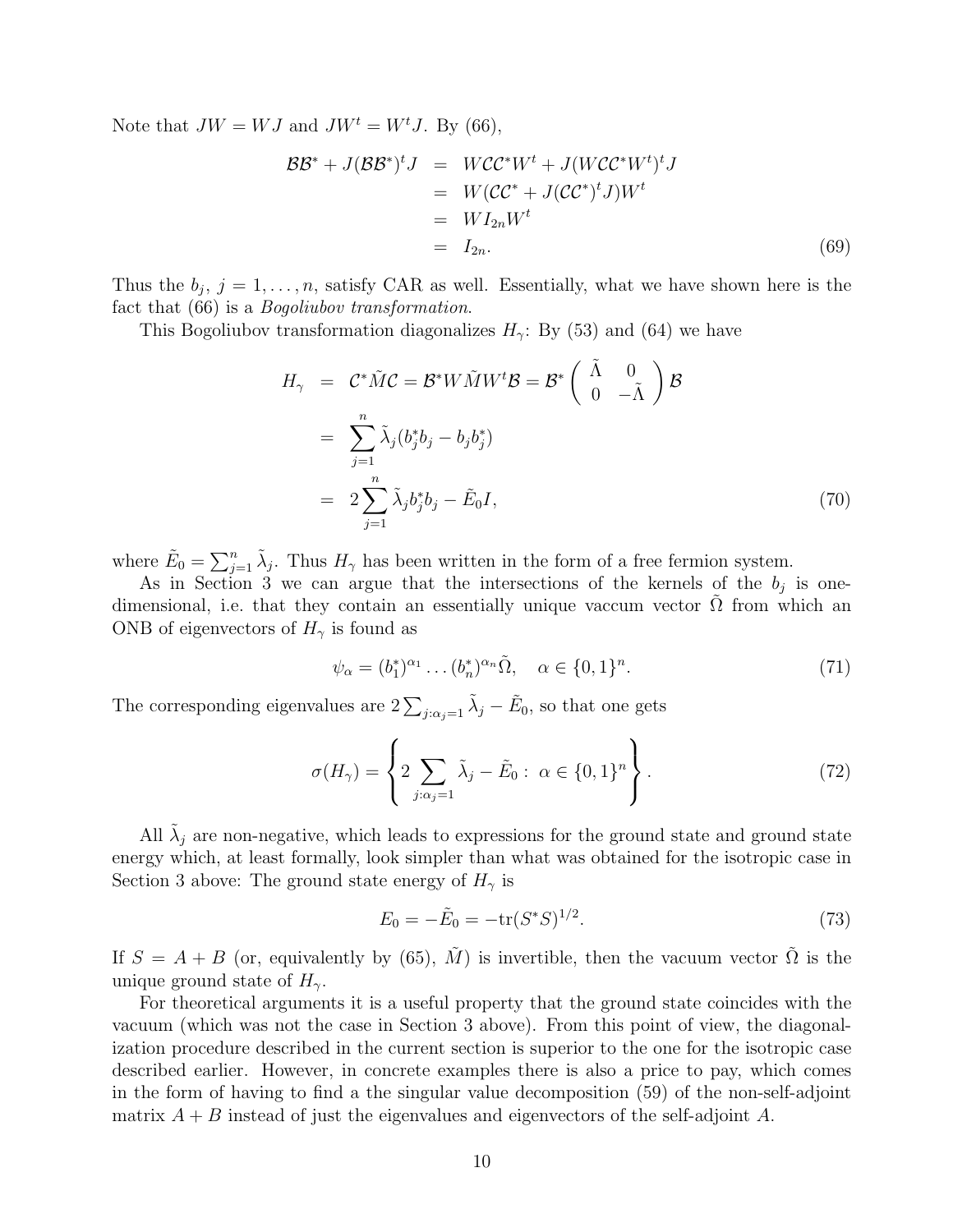Note that  $JW = WJ$  and  $JW^t = W^tJ$ . By (66),

$$
\mathcal{BB}^* + J(\mathcal{BB}^*)^t J = WCC^*W^t + J(WCC^*W^t)^t J
$$
  
=  $W(CC^* + J(CC^*)^t J)W^t$   
=  $WI_{2n}W^t$   
=  $I_{2n}$ . (69)

Thus the  $b_j$ ,  $j = 1, \ldots, n$ , satisfy CAR as well. Essentially, what we have shown here is the fact that (66) is a *Bogoliubov transformation*.

This Bogoliubov transformation diagonalizes  $H_{\gamma}$ : By (53) and (64) we have

$$
H_{\gamma} = C^* \tilde{M} C = \mathcal{B}^* W \tilde{M} W^t \mathcal{B} = \mathcal{B}^* \begin{pmatrix} \tilde{\Lambda} & 0 \\ 0 & -\tilde{\Lambda} \end{pmatrix} \mathcal{B}
$$
  

$$
= \sum_{j=1}^n \tilde{\lambda}_j (b_j^* b_j - b_j b_j^*)
$$
  

$$
= 2 \sum_{j=1}^n \tilde{\lambda}_j b_j^* b_j - \tilde{E}_0 I,
$$
 (70)

where  $\tilde{E}_0 = \sum_{j=1}^n \tilde{\lambda}_j$ . Thus  $H_\gamma$  has been written in the form of a free fermion system.

As in Section 3 we can argue that the intersections of the kernels of the  $b_j$  is onedimensional, i.e. that they contain an essentially unique vaccum vector  $\Omega$  from which an ONB of eigenvectors of  $H_{\gamma}$  is found as

$$
\psi_{\alpha} = (b_1^*)^{\alpha_1} \dots (b_n^*)^{\alpha_n} \tilde{\Omega}, \quad \alpha \in \{0, 1\}^n. \tag{71}
$$

The corresponding eigenvalues are  $2\sum_{j:\alpha_j=1} \tilde{\lambda}_j - \tilde{E}_0$ , so that one gets

$$
\sigma(H_{\gamma}) = \left\{ 2 \sum_{j:\alpha_j=1} \tilde{\lambda}_j - \tilde{E}_0 : \ \alpha \in \{0,1\}^n \right\}.
$$
\n(72)

All  $\tilde{\lambda}_j$  are non-negative, which leads to expressions for the ground state and ground state energy which, at least formally, look simpler than what was obtained for the isotropic case in Section 3 above: The ground state energy of  $H_{\gamma}$  is

$$
E_0 = -\tilde{E}_0 = -\text{tr}(S^*S)^{1/2}.
$$
\n(73)

If  $S = A + B$  (or, equivalently by (65),  $\tilde{M}$ ) is invertible, then the vacuum vector  $\tilde{\Omega}$  is the unique ground state of  $H_{\gamma}$ .

For theoretical arguments it is a useful property that the ground state coincides with the vacuum (which was not the case in Section 3 above). From this point of view, the diagonalization procedure described in the current section is superior to the one for the isotropic case described earlier. However, in concrete examples there is also a price to pay, which comes in the form of having to find a the singular value decomposition (59) of the non-self-adjoint matrix  $A + B$  instead of just the eigenvalues and eigenvectors of the self-adjoint A.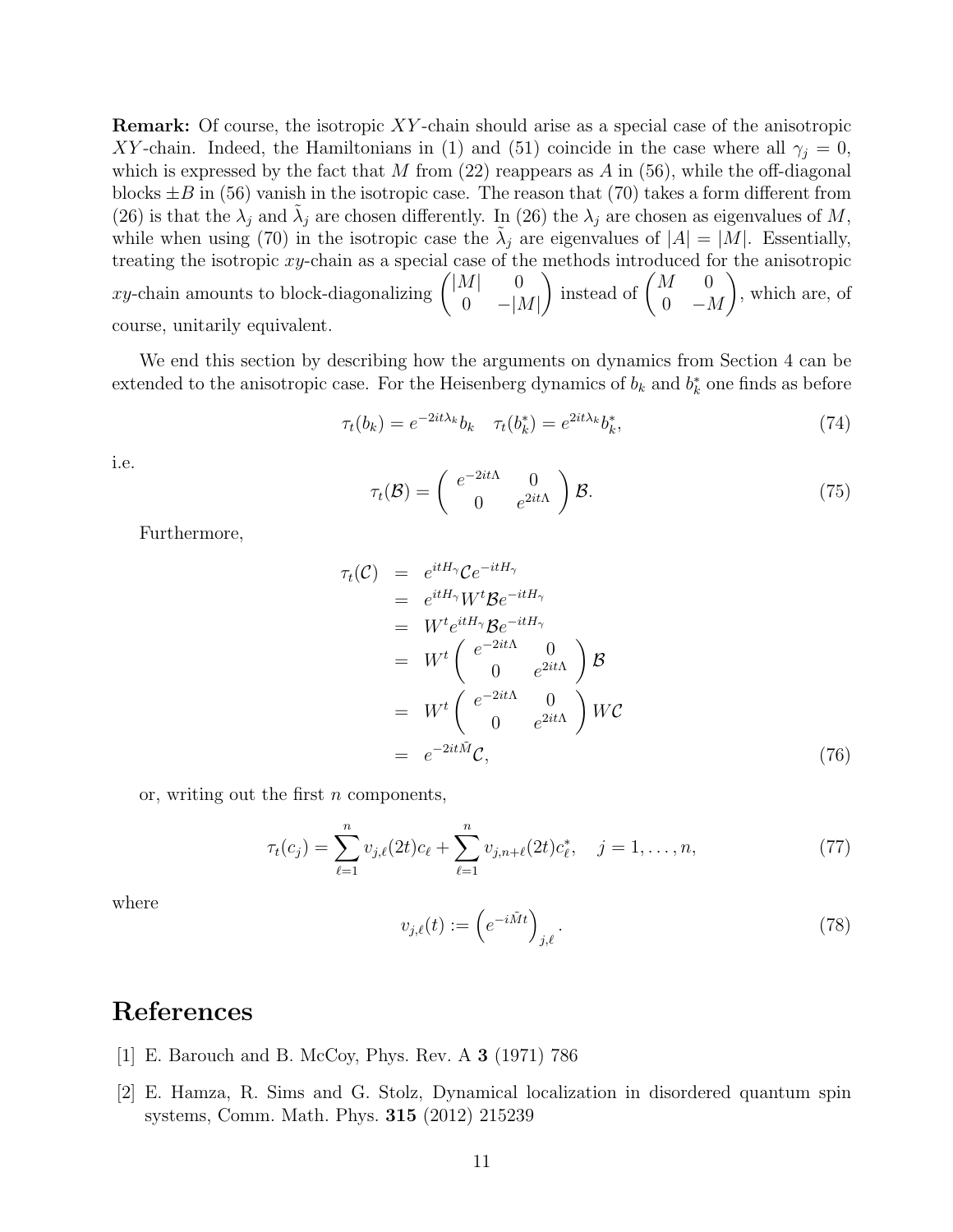Remark: Of course, the isotropic XY -chain should arise as a special case of the anisotropic XY-chain. Indeed, the Hamiltonians in (1) and (51) coincide in the case where all  $\gamma_i = 0$ , which is expressed by the fact that M from  $(22)$  reappears as A in  $(56)$ , while the off-diagonal blocks  $\pm B$  in (56) vanish in the isotropic case. The reason that (70) takes a form different from (26) is that the  $\lambda_j$  and  $\tilde{\lambda}_j$  are chosen differently. In (26) the  $\lambda_j$  are chosen as eigenvalues of M, while when using (70) in the isotropic case the  $\tilde{\lambda}_j$  are eigenvalues of  $|A| = |M|$ . Essentially, treating the isotropic xy-chain as a special case of the methods introduced for the anisotropic xy-chain amounts to block-diagonalizing  $\begin{pmatrix} |M| & 0 \\ 0 & 0 \end{pmatrix}$  $0 \quad -|M|$ ) instead of  $\begin{pmatrix} M & 0 \\ 0 & N \end{pmatrix}$  $0 - M$  $\setminus$ , which are, of course, unitarily equivalent.

We end this section by describing how the arguments on dynamics from Section 4 can be extended to the anisotropic case. For the Heisenberg dynamics of  $b_k$  and  $b_k^*$  one finds as before

$$
\tau_t(b_k) = e^{-2it\lambda_k} b_k \quad \tau_t(b_k^*) = e^{2it\lambda_k} b_k^*,\tag{74}
$$

i.e.

$$
\tau_t(\mathcal{B}) = \begin{pmatrix} e^{-2it\Lambda} & 0\\ 0 & e^{2it\Lambda} \end{pmatrix} \mathcal{B}.
$$
 (75)

Furthermore,

$$
\tau_t(\mathcal{C}) = e^{itH_{\gamma}} \mathcal{C} e^{-itH_{\gamma}}
$$
\n
$$
= e^{itH_{\gamma}} W^t \mathcal{B} e^{-itH_{\gamma}}
$$
\n
$$
= W^t e^{itH_{\gamma}} \mathcal{B} e^{-itH_{\gamma}}
$$
\n
$$
= W^t \begin{pmatrix} e^{-2it\Lambda} & 0 \\ 0 & e^{2it\Lambda} \end{pmatrix} \mathcal{B}
$$
\n
$$
= W^t \begin{pmatrix} e^{-2it\Lambda} & 0 \\ 0 & e^{2it\Lambda} \end{pmatrix} W \mathcal{C}
$$
\n
$$
= e^{-2it\tilde{\mathcal{M}}} \mathcal{C}, \qquad (76)
$$

or, writing out the first  $n$  components,

$$
\tau_t(c_j) = \sum_{\ell=1}^n v_{j,\ell}(2t)c_{\ell} + \sum_{\ell=1}^n v_{j,n+\ell}(2t)c_{\ell}^*, \quad j = 1, \dots, n,
$$
\n(77)

where

$$
v_{j,\ell}(t) := \left(e^{-i\tilde{M}t}\right)_{j,\ell}.\tag{78}
$$

## References

- [1] E. Barouch and B. McCoy, Phys. Rev. A 3 (1971) 786
- [2] E. Hamza, R. Sims and G. Stolz, Dynamical localization in disordered quantum spin systems, Comm. Math. Phys. 315 (2012) 215239